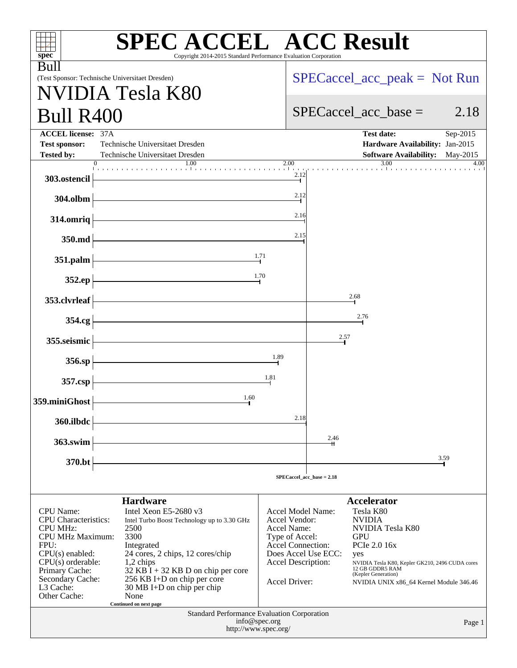| <b>SPEC ACCEL™ ACC Result</b><br>spec <sup>®</sup><br>Copyright 2014-2015 Standard Performance Evaluation Corporation                                                                                                |                                                                                                                                                                                                                                                                                                                 |                                                                                                                                        |                                                                                                                                                                                                                                                                          |  |  |  |
|----------------------------------------------------------------------------------------------------------------------------------------------------------------------------------------------------------------------|-----------------------------------------------------------------------------------------------------------------------------------------------------------------------------------------------------------------------------------------------------------------------------------------------------------------|----------------------------------------------------------------------------------------------------------------------------------------|--------------------------------------------------------------------------------------------------------------------------------------------------------------------------------------------------------------------------------------------------------------------------|--|--|--|
| Bull                                                                                                                                                                                                                 |                                                                                                                                                                                                                                                                                                                 |                                                                                                                                        |                                                                                                                                                                                                                                                                          |  |  |  |
| (Test Sponsor: Technische Universitaet Dresden)                                                                                                                                                                      |                                                                                                                                                                                                                                                                                                                 |                                                                                                                                        | $SPECaccel_acc_peak = Not Run$                                                                                                                                                                                                                                           |  |  |  |
|                                                                                                                                                                                                                      | VIDIA Tesla K80                                                                                                                                                                                                                                                                                                 |                                                                                                                                        |                                                                                                                                                                                                                                                                          |  |  |  |
| <b>Bull R400</b>                                                                                                                                                                                                     |                                                                                                                                                                                                                                                                                                                 |                                                                                                                                        | $SPECaccel_{acc}$ base =<br>2.18                                                                                                                                                                                                                                         |  |  |  |
| <b>ACCEL license: 37A</b><br><b>Test sponsor:</b><br><b>Tested by:</b>                                                                                                                                               | Technische Universitaet Dresden<br>Technische Universitaet Dresden                                                                                                                                                                                                                                              |                                                                                                                                        | Test date:<br>Sep-2015<br>Hardware Availability: Jan-2015<br><b>Software Availability:</b><br>May-2015                                                                                                                                                                   |  |  |  |
| 303.ostencil                                                                                                                                                                                                         |                                                                                                                                                                                                                                                                                                                 | 2.00<br>2.12                                                                                                                           | 3.00<br>4.00                                                                                                                                                                                                                                                             |  |  |  |
| 304.olbm                                                                                                                                                                                                             |                                                                                                                                                                                                                                                                                                                 | 2.12                                                                                                                                   |                                                                                                                                                                                                                                                                          |  |  |  |
| 314.omriq                                                                                                                                                                                                            |                                                                                                                                                                                                                                                                                                                 | 2.16                                                                                                                                   |                                                                                                                                                                                                                                                                          |  |  |  |
| 350.md                                                                                                                                                                                                               |                                                                                                                                                                                                                                                                                                                 | 2.15                                                                                                                                   |                                                                                                                                                                                                                                                                          |  |  |  |
| 351.palm                                                                                                                                                                                                             |                                                                                                                                                                                                                                                                                                                 | 1.71                                                                                                                                   |                                                                                                                                                                                                                                                                          |  |  |  |
| 352.ep                                                                                                                                                                                                               |                                                                                                                                                                                                                                                                                                                 | 1.70                                                                                                                                   |                                                                                                                                                                                                                                                                          |  |  |  |
| 353.clvrleaf                                                                                                                                                                                                         |                                                                                                                                                                                                                                                                                                                 |                                                                                                                                        | 2.68                                                                                                                                                                                                                                                                     |  |  |  |
| 354.cg                                                                                                                                                                                                               |                                                                                                                                                                                                                                                                                                                 |                                                                                                                                        | 2.76                                                                                                                                                                                                                                                                     |  |  |  |
| 355.seismic                                                                                                                                                                                                          |                                                                                                                                                                                                                                                                                                                 |                                                                                                                                        | 2.57                                                                                                                                                                                                                                                                     |  |  |  |
| 356.sp                                                                                                                                                                                                               |                                                                                                                                                                                                                                                                                                                 | 1.89                                                                                                                                   |                                                                                                                                                                                                                                                                          |  |  |  |
| 357.csp                                                                                                                                                                                                              |                                                                                                                                                                                                                                                                                                                 | 1.81                                                                                                                                   |                                                                                                                                                                                                                                                                          |  |  |  |
| 359.miniGhost                                                                                                                                                                                                        | 1.60                                                                                                                                                                                                                                                                                                            |                                                                                                                                        |                                                                                                                                                                                                                                                                          |  |  |  |
| 360.ilbdc                                                                                                                                                                                                            |                                                                                                                                                                                                                                                                                                                 | 2.18                                                                                                                                   |                                                                                                                                                                                                                                                                          |  |  |  |
| 363.swim                                                                                                                                                                                                             |                                                                                                                                                                                                                                                                                                                 |                                                                                                                                        | 2.46                                                                                                                                                                                                                                                                     |  |  |  |
| 370.bt                                                                                                                                                                                                               |                                                                                                                                                                                                                                                                                                                 |                                                                                                                                        | 3.59                                                                                                                                                                                                                                                                     |  |  |  |
|                                                                                                                                                                                                                      |                                                                                                                                                                                                                                                                                                                 |                                                                                                                                        | $SPECaccel_acc_base = 2.18$                                                                                                                                                                                                                                              |  |  |  |
| <b>CPU</b> Name:<br><b>CPU</b> Characteristics:<br><b>CPU MHz:</b><br><b>CPU MHz Maximum:</b><br>FPU:<br>$CPU(s)$ enabled:<br>$CPU(s)$ orderable:<br>Primary Cache:<br>Secondary Cache:<br>L3 Cache:<br>Other Cache: | <b>Hardware</b><br>Intel Xeon E5-2680 v3<br>Intel Turbo Boost Technology up to 3.30 GHz<br>2500<br>3300<br>Integrated<br>24 cores, 2 chips, 12 cores/chip<br>1,2 chips<br>$32$ KB $I + 32$ KB D on chip per core<br>256 KB I+D on chip per core<br>30 MB I+D on chip per chip<br>None<br>Continued on next page | Accel Model Name:<br>Accel Vendor:<br>Accel Name:<br>Type of Accel:<br><b>Accel Connection:</b><br>Accel Description:<br>Accel Driver: | <b>Accelerator</b><br>Tesla K80<br><b>NVIDIA</b><br>NVIDIA Tesla K80<br><b>GPU</b><br>PCIe 2.0 16x<br>Does Accel Use ECC:<br>yes<br>NVIDIA Tesla K80, Kepler GK210, 2496 CUDA cores<br>12 GB GDDR5 RAM<br>(Kepler Generation)<br>NVIDIA UNIX x86_64 Kernel Module 346.46 |  |  |  |
|                                                                                                                                                                                                                      | <b>Standard Performance Evaluation Corporation</b><br>info@spec.org<br>http://www.spec.org/                                                                                                                                                                                                                     |                                                                                                                                        | Page 1                                                                                                                                                                                                                                                                   |  |  |  |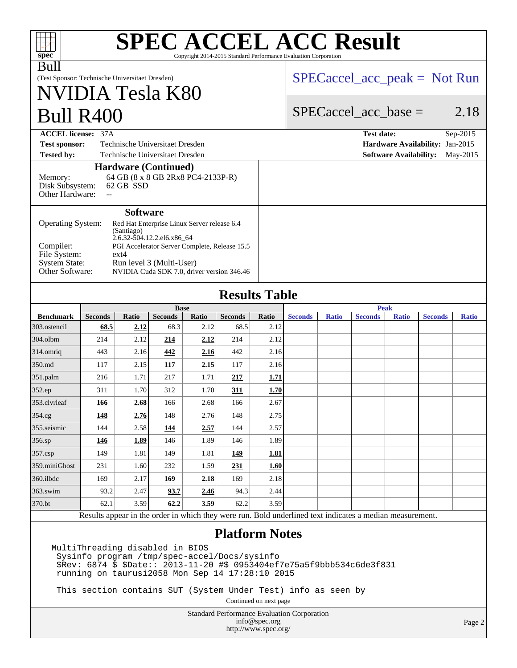| <b>SPEC ACCEL ACC Result</b><br>ПИ<br>ПI<br>spec <sup>®</sup><br>Copyright 2014-2015 Standard Performance Evaluation Corporation                                                                                                       |                                                                                         |                 |                                               |       |                |                      |                |                         |                                                                                                          |              |                                 |              |
|----------------------------------------------------------------------------------------------------------------------------------------------------------------------------------------------------------------------------------------|-----------------------------------------------------------------------------------------|-----------------|-----------------------------------------------|-------|----------------|----------------------|----------------|-------------------------|----------------------------------------------------------------------------------------------------------|--------------|---------------------------------|--------------|
| <b>Bull</b>                                                                                                                                                                                                                            |                                                                                         |                 |                                               |       |                |                      |                |                         |                                                                                                          |              |                                 |              |
| (Test Sponsor: Technische Universitaet Dresden)                                                                                                                                                                                        |                                                                                         |                 |                                               |       |                |                      |                |                         |                                                                                                          |              | $SPECaccel_acc_peak = Not Run$  |              |
| NVIDIA Tesla K80                                                                                                                                                                                                                       |                                                                                         |                 |                                               |       |                |                      |                |                         |                                                                                                          |              |                                 |              |
| <b>Bull R400</b>                                                                                                                                                                                                                       |                                                                                         |                 |                                               |       |                |                      |                | $SPECaccel_acc\_base =$ |                                                                                                          |              | 2.18                            |              |
| <b>ACCEL license: 37A</b>                                                                                                                                                                                                              |                                                                                         |                 |                                               |       |                |                      |                |                         | <b>Test date:</b>                                                                                        |              |                                 | Sep-2015     |
| <b>Test sponsor:</b><br>Technische Universitaet Dresden                                                                                                                                                                                |                                                                                         |                 |                                               |       |                |                      |                |                         |                                                                                                          |              | Hardware Availability: Jan-2015 |              |
| <b>Tested by:</b><br>Technische Universitaet Dresden<br><b>Software Availability:</b><br>May-2015                                                                                                                                      |                                                                                         |                 |                                               |       |                |                      |                |                         |                                                                                                          |              |                                 |              |
|                                                                                                                                                                                                                                        |                                                                                         |                 | <b>Hardware (Continued)</b>                   |       |                |                      |                |                         |                                                                                                          |              |                                 |              |
| 64 GB (8 x 8 GB 2Rx8 PC4-2133P-R)<br>Memory:<br>62 GB SSD<br>Disk Subsystem:<br>Other Hardware:<br>$\overline{\phantom{a}}$                                                                                                            |                                                                                         |                 |                                               |       |                |                      |                |                         |                                                                                                          |              |                                 |              |
|                                                                                                                                                                                                                                        |                                                                                         | <b>Software</b> |                                               |       |                |                      |                |                         |                                                                                                          |              |                                 |              |
| Operating System:                                                                                                                                                                                                                      |                                                                                         |                 | Red Hat Enterprise Linux Server release 6.4   |       |                |                      |                |                         |                                                                                                          |              |                                 |              |
|                                                                                                                                                                                                                                        |                                                                                         | (Santiago)      | 2.6.32-504.12.2.el6.x86_64                    |       |                |                      |                |                         |                                                                                                          |              |                                 |              |
| Compiler:                                                                                                                                                                                                                              |                                                                                         |                 | PGI Accelerator Server Complete, Release 15.5 |       |                |                      |                |                         |                                                                                                          |              |                                 |              |
| File System:<br><b>System State:</b>                                                                                                                                                                                                   |                                                                                         | $ext{4}$        | Run level 3 (Multi-User)                      |       |                |                      |                |                         |                                                                                                          |              |                                 |              |
| Other Software:                                                                                                                                                                                                                        |                                                                                         |                 | NVIDIA Cuda SDK 7.0, driver version 346.46    |       |                |                      |                |                         |                                                                                                          |              |                                 |              |
|                                                                                                                                                                                                                                        |                                                                                         |                 |                                               |       |                |                      |                |                         |                                                                                                          |              |                                 |              |
|                                                                                                                                                                                                                                        |                                                                                         |                 |                                               |       |                | <b>Results Table</b> |                |                         |                                                                                                          |              |                                 |              |
|                                                                                                                                                                                                                                        |                                                                                         |                 | <b>Base</b>                                   |       |                |                      |                |                         | <b>Peak</b>                                                                                              |              |                                 |              |
| <b>Benchmark</b>                                                                                                                                                                                                                       | <b>Seconds</b>                                                                          | <b>Ratio</b>    | <b>Seconds</b>                                | Ratio | <b>Seconds</b> | <b>Ratio</b>         | <b>Seconds</b> | <b>Ratio</b>            | <b>Seconds</b>                                                                                           | <b>Ratio</b> | <b>Seconds</b>                  | <b>Ratio</b> |
| 303.ostencil                                                                                                                                                                                                                           | 68.5                                                                                    | 2.12            | 68.3                                          | 2.12  | 68.5           | 2.12                 |                |                         |                                                                                                          |              |                                 |              |
| 304.olbm                                                                                                                                                                                                                               | 214                                                                                     | 2.12            | 214                                           | 2.12  | 214            | 2.12                 |                |                         |                                                                                                          |              |                                 |              |
| 314.omriq                                                                                                                                                                                                                              | 443                                                                                     | 2.16            | 442                                           | 2.16  | 442            | 2.16                 |                |                         |                                                                                                          |              |                                 |              |
| 350.md                                                                                                                                                                                                                                 | 117                                                                                     | 2.15            | 117                                           | 2.15  | 117            | 2.16                 |                |                         |                                                                                                          |              |                                 |              |
| 351.palm                                                                                                                                                                                                                               | 216                                                                                     | 1.71            | 217                                           | 1.71  | 217            | 1.71                 |                |                         |                                                                                                          |              |                                 |              |
| 352.ep                                                                                                                                                                                                                                 | 311                                                                                     | 1.70            | 312                                           | 1.70  | 311            | 1.70                 |                |                         |                                                                                                          |              |                                 |              |
| 353.clvrleaf                                                                                                                                                                                                                           | 166                                                                                     | 2.68            | 166                                           | 2.68  | 166            | 2.67                 |                |                         |                                                                                                          |              |                                 |              |
| 354.cg                                                                                                                                                                                                                                 | 148                                                                                     | 2.76            | 148                                           | 2.76  | 148            | 2.75                 |                |                         |                                                                                                          |              |                                 |              |
| 355. seismic                                                                                                                                                                                                                           | 144                                                                                     | 2.58            | 144                                           | 2.57  | 144            | 2.57                 |                |                         |                                                                                                          |              |                                 |              |
| 356.sp                                                                                                                                                                                                                                 | 146                                                                                     | 1.89            | 146                                           | 1.89  | 146            | 1.89                 |                |                         |                                                                                                          |              |                                 |              |
| 357.csp                                                                                                                                                                                                                                | 149                                                                                     | 1.81            | 149                                           | 1.81  | 149            | 1.81                 |                |                         |                                                                                                          |              |                                 |              |
| 359.miniGhost                                                                                                                                                                                                                          | 231                                                                                     | 1.60            | 232                                           | 1.59  | 231            | 1.60                 |                |                         |                                                                                                          |              |                                 |              |
| 360.ilbdc                                                                                                                                                                                                                              | 169                                                                                     | 2.17            | 169                                           | 2.18  | 169            | 2.18                 |                |                         |                                                                                                          |              |                                 |              |
| 363.swim                                                                                                                                                                                                                               | 93.2                                                                                    | 2.47            | 93.7                                          | 2.46  | 94.3           | 2.44                 |                |                         |                                                                                                          |              |                                 |              |
| 370.bt                                                                                                                                                                                                                                 | 62.1                                                                                    | 3.59            | 62.2                                          | 3.59  | 62.2           | 3.59                 |                |                         |                                                                                                          |              |                                 |              |
|                                                                                                                                                                                                                                        |                                                                                         |                 |                                               |       |                |                      |                |                         | Results appear in the order in which they were run. Bold underlined text indicates a median measurement. |              |                                 |              |
| <b>Platform Notes</b><br>MultiThreading disabled in BIOS<br>Sysinfo program /tmp/spec-accel/Docs/sysinfo<br>\$Rev: 6874 \$ \$Date:: 2013-11-20 #\$ 0953404ef7e75a5f9bbb534c6de3f831<br>running on taurusi2058 Mon Sep 14 17:28:10 2015 |                                                                                         |                 |                                               |       |                |                      |                |                         |                                                                                                          |              |                                 |              |
|                                                                                                                                                                                                                                        | This section contains SUT (System Under Test) info as seen by<br>Continued on next page |                 |                                               |       |                |                      |                |                         |                                                                                                          |              |                                 |              |
|                                                                                                                                                                                                                                        |                                                                                         |                 |                                               |       |                |                      |                |                         |                                                                                                          |              |                                 |              |

Standard Performance Evaluation Corporation [info@spec.org](mailto:info@spec.org) <http://www.spec.org/>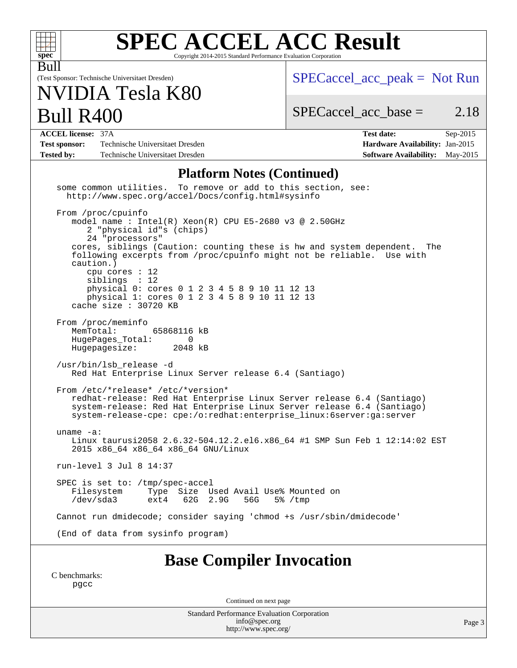| <b>SPEC ACCEL ACC Result</b><br>spec <sup>®</sup><br>Copyright 2014-2015 Standard Performance Evaluation Corporation                                                                                                                                                                                                                                                                                                                    |                                                                                                            |  |  |  |
|-----------------------------------------------------------------------------------------------------------------------------------------------------------------------------------------------------------------------------------------------------------------------------------------------------------------------------------------------------------------------------------------------------------------------------------------|------------------------------------------------------------------------------------------------------------|--|--|--|
| Bull<br>(Test Sponsor: Technische Universitaet Dresden)<br>NVIDIA Tesla K80                                                                                                                                                                                                                                                                                                                                                             | $SPECaccel_acc_peak = Not Run$                                                                             |  |  |  |
| <b>Bull R400</b>                                                                                                                                                                                                                                                                                                                                                                                                                        | $SPECaccel_acc_base =$<br>2.18                                                                             |  |  |  |
| <b>ACCEL license: 37A</b><br>Technische Universitaet Dresden<br><b>Test sponsor:</b><br>Technische Universitaet Dresden<br><b>Tested by:</b>                                                                                                                                                                                                                                                                                            | <b>Test date:</b><br>Sep-2015<br>Hardware Availability: Jan-2015<br><b>Software Availability:</b> May-2015 |  |  |  |
| <b>Platform Notes (Continued)</b><br>some common utilities.<br>To remove or add to this section, see:<br>http://www.spec.org/accel/Docs/config.html#sysinfo<br>From /proc/cpuinfo                                                                                                                                                                                                                                                       |                                                                                                            |  |  |  |
| model name: $Intel(R)$ Xeon $(R)$ CPU E5-2680 v3 @ 2.50GHz<br>2 "physical id"s (chips)<br>24 "processors"<br>cores, siblings (Caution: counting these is hw and system dependent.<br>following excerpts from /proc/cpuinfo might not be reliable. Use with<br>caution.)<br>cpu cores : 12<br>siblings : 12<br>physical 0: cores 0 1 2 3 4 5 8 9 10 11 12 13<br>physical 1: cores 0 1 2 3 4 5 8 9 10 11 12 13<br>cache size $: 30720$ KB | The                                                                                                        |  |  |  |
| From /proc/meminfo<br>MemTotal:<br>65868116 kB<br>HugePages_Total:<br>0<br>Hugepagesize:<br>2048 kB                                                                                                                                                                                                                                                                                                                                     |                                                                                                            |  |  |  |
| /usr/bin/lsb_release -d<br>Red Hat Enterprise Linux Server release 6.4 (Santiago)                                                                                                                                                                                                                                                                                                                                                       |                                                                                                            |  |  |  |
| From /etc/*release* /etc/*version*<br>redhat-release: Red Hat Enterprise Linux Server release 6.4 (Santiago)<br>system-release: Red Hat Enterprise Linux Server release 6.4 (Santiago)<br>system-release-cpe: cpe:/o:redhat:enterprise_linux:6server:ga:server                                                                                                                                                                          |                                                                                                            |  |  |  |
| uname $-a$ :<br>Linux taurusi2058 2.6.32-504.12.2.el6.x86_64 #1 SMP Sun Feb 1 12:14:02 EST<br>2015 x86_64 x86_64 x86_64 GNU/Linux                                                                                                                                                                                                                                                                                                       |                                                                                                            |  |  |  |
| run-level 3 Jul 8 14:37                                                                                                                                                                                                                                                                                                                                                                                                                 |                                                                                                            |  |  |  |
| SPEC is set to: /tmp/spec-accel<br>Filesystem<br>Type Size Used Avail Use% Mounted on<br>/dev/sda3<br>62G 2.9G<br>ext4<br>56G                                                                                                                                                                                                                                                                                                           | 5% /tmp                                                                                                    |  |  |  |
| Cannot run dmidecode; consider saying 'chmod +s /usr/sbin/dmidecode'                                                                                                                                                                                                                                                                                                                                                                    |                                                                                                            |  |  |  |
| (End of data from sysinfo program)                                                                                                                                                                                                                                                                                                                                                                                                      |                                                                                                            |  |  |  |
| <b>Base Compiler Invocation</b><br>C benchmarks:<br>pgcc                                                                                                                                                                                                                                                                                                                                                                                |                                                                                                            |  |  |  |

Continued on next page

Standard Performance Evaluation Corporation [info@spec.org](mailto:info@spec.org) <http://www.spec.org/>